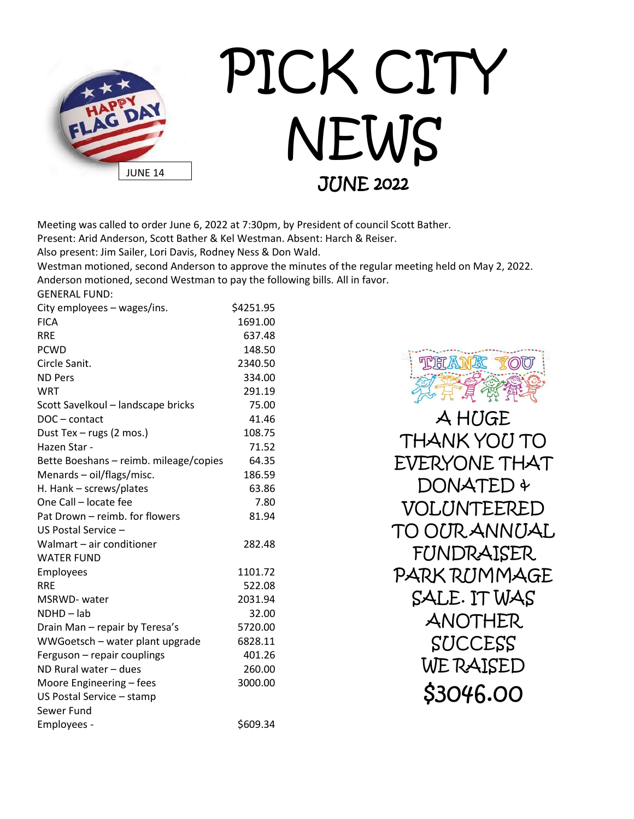

Meeting was called to order June 6, 2022 at 7:30pm, by President of council Scott Bather.

Present: Arid Anderson, Scott Bather & Kel Westman. Absent: Harch & Reiser.

Also present: Jim Sailer, Lori Davis, Rodney Ness & Don Wald.

Westman motioned, second Anderson to approve the minutes of the regular meeting held on May 2, 2022. Anderson motioned, second Westman to pay the following bills. All in favor.

GENERAL FUND:

| City employees – wages/ins.            | \$4251.95 |
|----------------------------------------|-----------|
| <b>FICA</b>                            | 1691.00   |
| <b>RRE</b>                             | 637.48    |
| <b>PCWD</b>                            | 148.50    |
| Circle Sanit.                          | 2340.50   |
| <b>ND Pers</b>                         | 334.00    |
| <b>WRT</b>                             | 291.19    |
| Scott Savelkoul - landscape bricks     | 75.00     |
| DOC-contact                            | 41.46     |
| Dust Tex - rugs (2 mos.)               | 108.75    |
| Hazen Star -                           | 71.52     |
| Bette Boeshans - reimb. mileage/copies | 64.35     |
| Menards - oil/flags/misc.              | 186.59    |
| H. Hank - screws/plates                | 63.86     |
| One Call - locate fee                  | 7.80      |
| Pat Drown - reimb, for flowers         | 81.94     |
| US Postal Service -                    |           |
| Walmart - air conditioner              | 282.48    |
| <b>WATER FUND</b>                      |           |
| Employees                              | 1101.72   |
| <b>RRE</b>                             | 522.08    |
| MSRWD- water                           | 2031.94   |
| NDHD-lab                               | 32.00     |
| Drain Man - repair by Teresa's         | 5720.00   |
| WWGoetsch - water plant upgrade        | 6828.11   |
| Ferguson - repair couplings            | 401.26    |
| ND Rural water - dues                  | 260.00    |
| Moore Engineering - fees               | 3000.00   |
| US Postal Service - stamp              |           |
| Sewer Fund                             |           |
| Employees -                            | \$609.34  |



A HUGE THANK YOU TO EVERYONE THAT DONATED + VOLUNTEERED TO OUR ANNUAL FUNDRAISER PARK RUMMAGE SALE. IT WAS ANOTHER SUCCESS WE RAISED \$3046.00